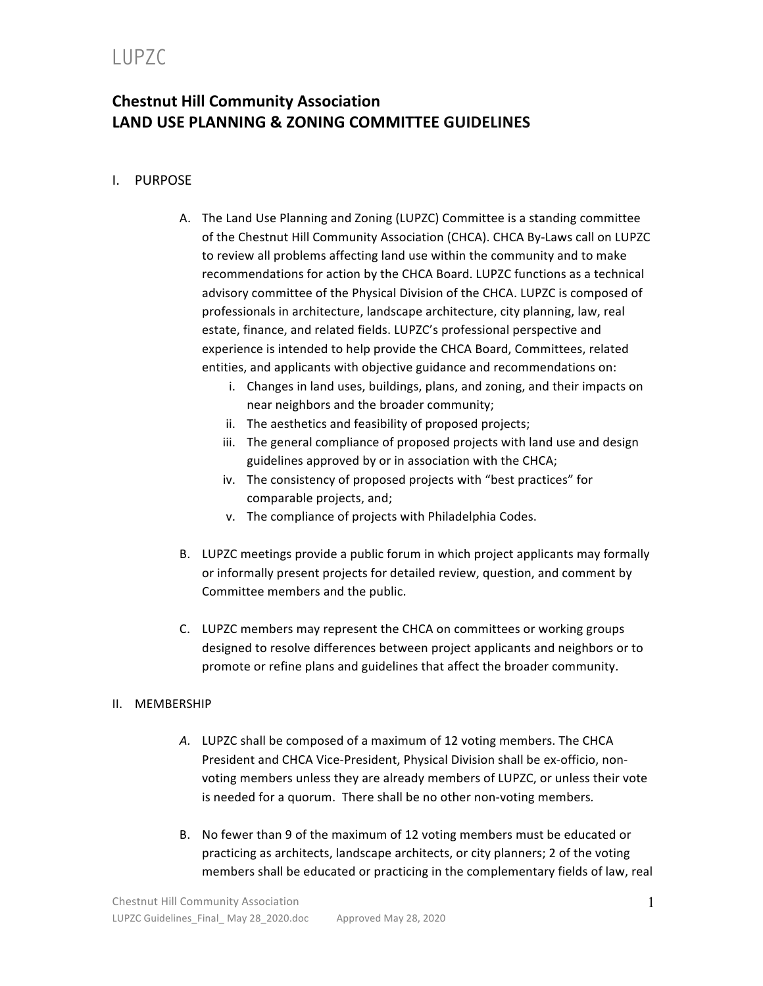## LUPZC

### **Chestnut Hill Community Association LAND USE PLANNING & ZONING COMMITTEE GUIDELINES**

### I. PURPOSE

- A. The Land Use Planning and Zoning (LUPZC) Committee is a standing committee of the Chestnut Hill Community Association (CHCA). CHCA By-Laws call on LUPZC to review all problems affecting land use within the community and to make recommendations for action by the CHCA Board. LUPZC functions as a technical advisory committee of the Physical Division of the CHCA. LUPZC is composed of professionals in architecture, landscape architecture, city planning, law, real estate, finance, and related fields. LUPZC's professional perspective and experience is intended to help provide the CHCA Board, Committees, related entities, and applicants with objective guidance and recommendations on:
	- i. Changes in land uses, buildings, plans, and zoning, and their impacts on near neighbors and the broader community;
	- ii. The aesthetics and feasibility of proposed projects;
	- iii. The general compliance of proposed projects with land use and design guidelines approved by or in association with the CHCA;
	- iv. The consistency of proposed projects with "best practices" for comparable projects, and;
	- v. The compliance of projects with Philadelphia Codes.
- B. LUPZC meetings provide a public forum in which project applicants may formally or informally present projects for detailed review, question, and comment by Committee members and the public.
- C. LUPZC members may represent the CHCA on committees or working groups designed to resolve differences between project applicants and neighbors or to promote or refine plans and guidelines that affect the broader community.

#### II. MEMBERSHIP

- A. LUPZC shall be composed of a maximum of 12 voting members. The CHCA President and CHCA Vice-President, Physical Division shall be ex-officio, nonvoting members unless they are already members of LUPZC, or unless their vote is needed for a quorum. There shall be no other non-voting members.
- B. No fewer than 9 of the maximum of 12 voting members must be educated or practicing as architects, landscape architects, or city planners; 2 of the voting members shall be educated or practicing in the complementary fields of law, real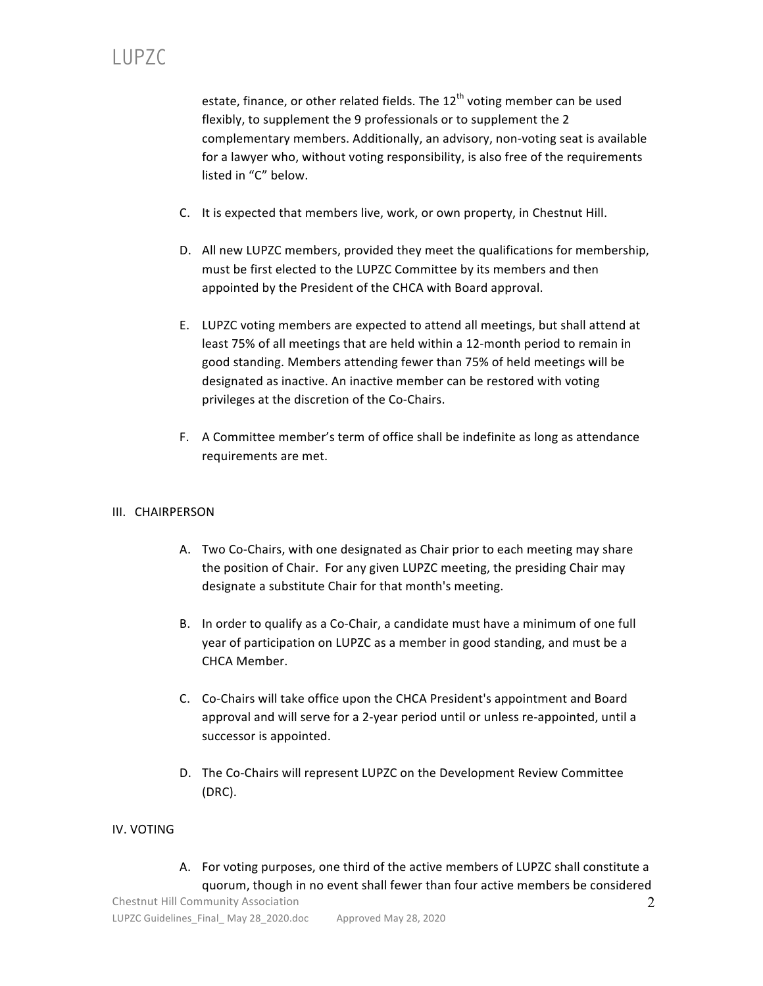estate, finance, or other related fields. The  $12<sup>th</sup>$  voting member can be used flexibly, to supplement the 9 professionals or to supplement the 2 complementary members. Additionally, an advisory, non-voting seat is available for a lawyer who, without voting responsibility, is also free of the requirements listed in "C" below.

- C. It is expected that members live, work, or own property, in Chestnut Hill.
- D. All new LUPZC members, provided they meet the qualifications for membership, must be first elected to the LUPZC Committee by its members and then appointed by the President of the CHCA with Board approval.
- E. LUPZC voting members are expected to attend all meetings, but shall attend at least 75% of all meetings that are held within a 12-month period to remain in good standing. Members attending fewer than 75% of held meetings will be designated as inactive. An inactive member can be restored with voting privileges at the discretion of the Co-Chairs.
- F. A Committee member's term of office shall be indefinite as long as attendance requirements are met.

#### III. CHAIRPERSON

- A. Two Co-Chairs, with one designated as Chair prior to each meeting may share the position of Chair. For any given LUPZC meeting, the presiding Chair may designate a substitute Chair for that month's meeting.
- B. In order to qualify as a Co-Chair, a candidate must have a minimum of one full year of participation on LUPZC as a member in good standing, and must be a CHCA Member.
- C. Co-Chairs will take office upon the CHCA President's appointment and Board approval and will serve for a 2-year period until or unless re-appointed, until a successor is appointed.
- D. The Co-Chairs will represent LUPZC on the Development Review Committee (DRC).

#### IV. VOTING

A. For voting purposes, one third of the active members of LUPZC shall constitute a guorum, though in no event shall fewer than four active members be considered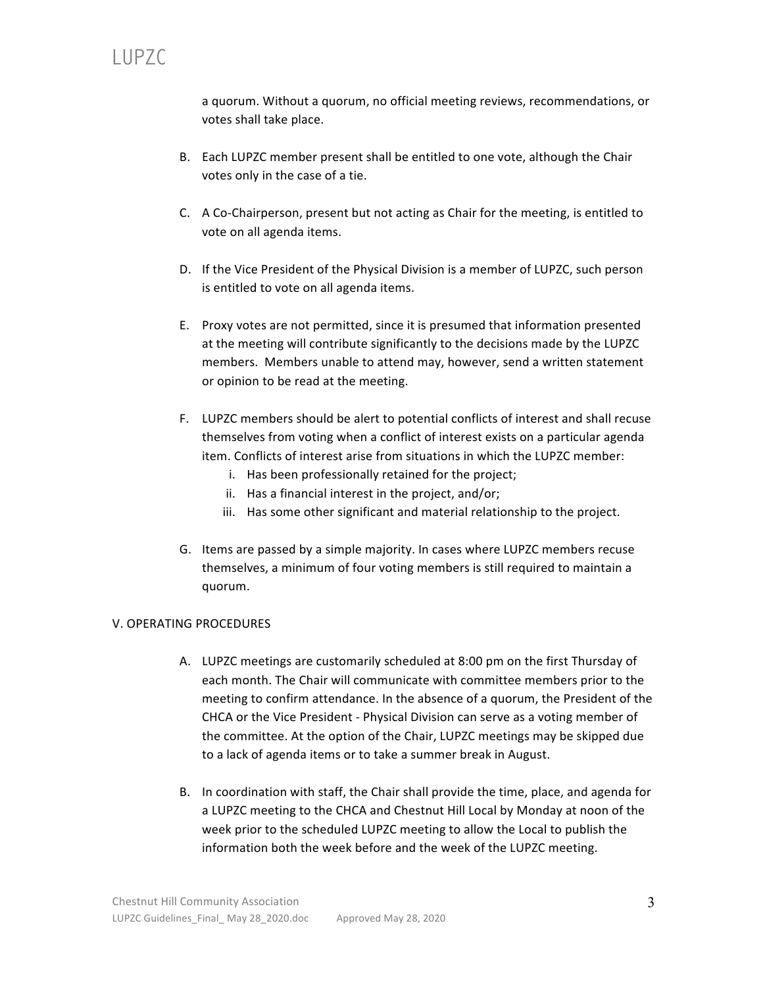a quorum. Without a quorum, no official meeting reviews, recommendations, or votes shall take place.

- B. Each LUPZC member present shall be entitled to one vote, although the Chair votes only in the case of a tie.
- C. A Co-Chairperson, present but not acting as Chair for the meeting, is entitled to vote on all agenda items.
- D. If the Vice President of the Physical Division is a member of LUPZC, such person is entitled to vote on all agenda items.
- E. Proxy votes are not permitted, since it is presumed that information presented at the meeting will contribute significantly to the decisions made by the LUPZC members. Members unable to attend may, however, send a written statement or opinion to be read at the meeting.
- F. LUPZC members should be alert to potential conflicts of interest and shall recuse themselves from voting when a conflict of interest exists on a particular agenda item. Conflicts of interest arise from situations in which the LUPZC member:
	- i. Has been professionally retained for the project;
	- ii. Has a financial interest in the project, and/or;
	- iii. Has some other significant and material relationship to the project.
- G. Items are passed by a simple majority. In cases where LUPZC members recuse themselves, a minimum of four voting members is still required to maintain a quorum.

#### V. OPERATING PROCEDURES

- A. LUPZC meetings are customarily scheduled at 8:00 pm on the first Thursday of each month. The Chair will communicate with committee members prior to the meeting to confirm attendance. In the absence of a quorum, the President of the CHCA or the Vice President - Physical Division can serve as a voting member of the committee. At the option of the Chair, LUPZC meetings may be skipped due to a lack of agenda items or to take a summer break in August.
- B. In coordination with staff, the Chair shall provide the time, place, and agenda for a LUPZC meeting to the CHCA and Chestnut Hill Local by Monday at noon of the week prior to the scheduled LUPZC meeting to allow the Local to publish the information both the week before and the week of the LUPZC meeting.